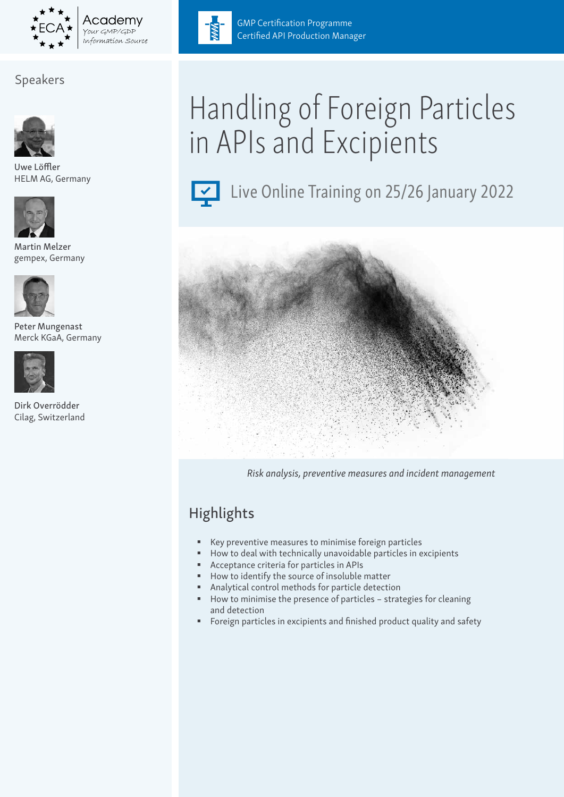

#### Academv OUT GMP/GDP Information Source

## Speakers



Uwe Löffler HELM AG, Germany



Martin Melzer gempex, Germany



Peter Mungenast Merck KGaA, Germany



Dirk Overrödder Cilag, Switzerland



GMP Certification Programme Certified API Production Manager

# Handling of Foreign Particles in APIs and Excipients



Live Online Training on 25/26 January 2022



*Risk analysis, preventive measures and incident management*

# **Highlights**

- Key preventive measures to minimise foreign particles
- How to deal with technically unavoidable particles in excipients
- Acceptance criteria for particles in APIs
- How to identify the source of insoluble matter
- Analytical control methods for particle detection
- How to minimise the presence of particles strategies for cleaning and detection
- Foreign particles in excipients and finished product quality and safety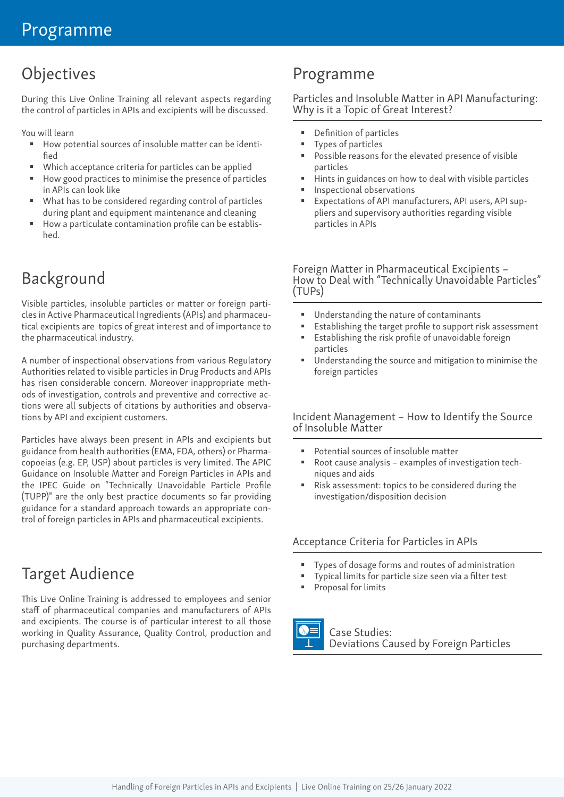# **Objectives**

During this Live Online Training all relevant aspects regarding the control of particles in APIs and excipients will be discussed.

You will learn

- How potential sources of insoluble matter can be identified
- Which acceptance criteria for particles can be applied
- How good practices to minimise the presence of particles in APIs can look like
- What has to be considered regarding control of particles during plant and equipment maintenance and cleaning
- How a particulate contamination profile can be established.

# Background

Visible particles, insoluble particles or matter or foreign particles in Active Pharmaceutical Ingredients (APIs) and pharmaceutical excipients are topics of great interest and of importance to the pharmaceutical industry.

A number of inspectional observations from various Regulatory Authorities related to visible particles in Drug Products and APIs has risen considerable concern. Moreover inappropriate methods of investigation, controls and preventive and corrective actions were all subjects of citations by authorities and observations by API and excipient customers.

Particles have always been present in APIs and excipients but guidance from health authorities (EMA, FDA, others) or Pharmacopoeias (e.g. EP, USP) about particles is very limited. The APIC Guidance on Insoluble Matter and Foreign Particles in APIs and the IPEC Guide on "Technically Unavoidable Particle Profile (TUPP)" are the only best practice documents so far providing guidance for a standard approach towards an appropriate control of foreign particles in APIs and pharmaceutical excipients.

## Target Audience

This Live Online Training is addressed to employees and senior staff of pharmaceutical companies and manufacturers of APIs and excipients. The course is of particular interest to all those working in Quality Assurance, Quality Control, production and purchasing departments.

## Programme

#### Particles and Insoluble Matter in API Manufacturing: Why is it a Topic of Great Interest?

- Definition of particles
- Types of particles
- Possible reasons for the elevated presence of visible particles
- Hints in guidances on how to deal with visible particles
- Inspectional observations
- Expectations of API manufacturers, API users, API suppliers and supervisory authorities regarding visible particles in APIs

#### Foreign Matter in Pharmaceutical Excipients – How to Deal with "Technically Unavoidable Particles" (TUPs)

- Understanding the nature of contaminants
- Establishing the target profile to support risk assessment
- Establishing the risk profile of unavoidable foreign particles
- Understanding the source and mitigation to minimise the foreign particles

#### Incident Management – How to Identify the Source of Insoluble Matter

- Potential sources of insoluble matter
- Root cause analysis examples of investigation techniques and aids
- Risk assessment: topics to be considered during the investigation/disposition decision

#### Acceptance Criteria for Particles in APIs

- Types of dosage forms and routes of administration
- Typical limits for particle size seen via a filter test
- Proposal for limits

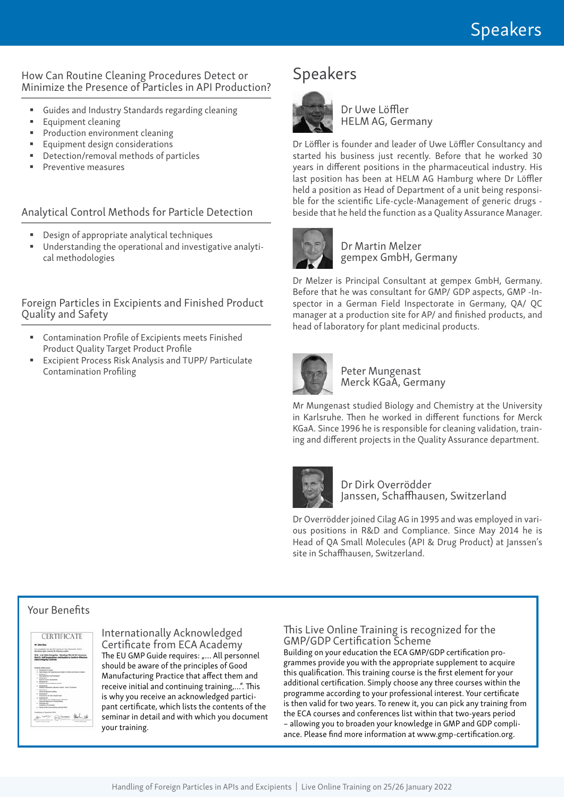#### How Can Routine Cleaning Procedures Detect or Minimize the Presence of Particles in API Production?

- Guides and Industry Standards regarding cleaning
- **Equipment cleaning**
- **Production environment cleaning**
- **Equipment design considerations**
- Detection/removal methods of particles
- **Preventive measures**

#### Analytical Control Methods for Particle Detection

- Design of appropriate analytical techniques
- Understanding the operational and investigative analytical methodologies

Foreign Particles in Excipients and Finished Product Quality and Safety

- Contamination Profile of Excipients meets Finished Product Quality Target Product Profile
- Excipient Process Risk Analysis and TUPP/ Particulate Contamination Profiling

## Speakers



Dr Uwe Löffler HELM AG, Germany

Dr Löffler is founder and leader of Uwe Löffler Consultancy and started his business just recently. Before that he worked 30 years in different positions in the pharmaceutical industry. His last position has been at HELM AG Hamburg where Dr Löffler held a position as Head of Department of a unit being responsible for the scientific Life-cycle-Management of generic drugs beside that he held the function as a Quality Assurance Manager.



#### Dr Martin Melzer gempex GmbH, Germany

Dr Melzer is Principal Consultant at gempex GmbH, Germany. Before that he was consultant for GMP/ GDP aspects, GMP -Inspector in a German Field Inspectorate in Germany, QA/ QC manager at a production site for AP/ and finished products, and head of laboratory for plant medicinal products.



Peter Mungenast Merck KGaA, Germany

Mr Mungenast studied Biology and Chemistry at the University in Karlsruhe. Then he worked in different functions for Merck KGaA. Since 1996 he is responsible for cleaning validation, training and different projects in the Quality Assurance department.



Dr Dirk Overrödder Janssen, Schaffhausen, Switzerland

Dr Overrödder joined Cilag AG in 1995 and was employed in various positions in R&D and Compliance. Since May 2014 he is Head of QA Small Molecules (API & Drug Product) at Janssen's site in Schaffhausen, Switzerland.

#### Your Benefits



Internationally Acknowledged Certificate from ECA Academy The EU GMP Guide requires: "... All personnel should be aware of the principles of Good Manufacturing Practice that affect them and receive initial and continuing training,…". This is why you receive an acknowledged participant certificate, which lists the contents of the seminar in detail and with which you document your training.

#### This Live Online Training is recognized for the GMP/GDP Certification Scheme

Building on your education the ECA GMP/GDP certification programmes provide you with the appropriate supplement to acquire this qualification. This training course is the first element for your additional certification. Simply choose any three courses within the programme according to your professional interest. Your certificate is then valid for two years. To renew it, you can pick any training from the ECA courses and conferences list within that two-years period – allowing you to broaden your knowledge in GMP and GDP compliance. Please find more information at www.gmp-certification.org.